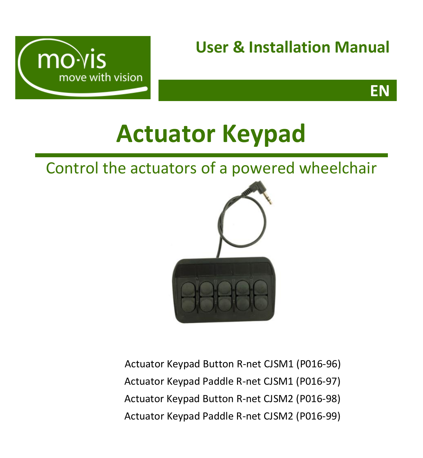

# **User & Installation Manual**

**EN**

# **Actuator Keypad**

Control the actuators of a powered wheelchair



Actuator Keypad Button R-net CJSM1 (P016-96) Actuator Keypad Paddle R-net CJSM1 (P016-97) Actuator Keypad Button R-net CJSM2 (P016-98) Actuator Keypad Paddle R-net CJSM2 (P016-99)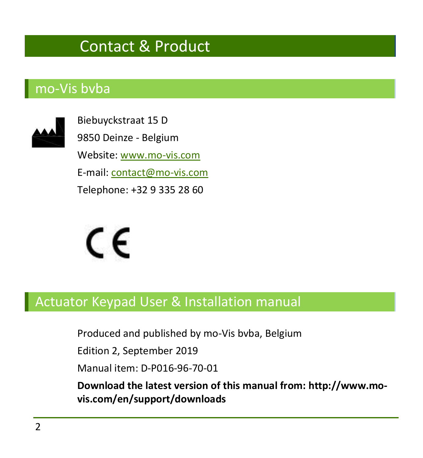# Contact & Product

## <span id="page-1-1"></span><span id="page-1-0"></span>mo-Vis bvba



Biebuyckstraat 15 D 9850 Deinze - Belgium Website: [www.mo-vis.com](http://www.mo-vis.com/) E-mail[: contact@mo-vis.com](mailto:contact@mo-vis.com) Telephone: +32 9 335 28 60



# <span id="page-1-2"></span>Actuator Keypad User & Installation manual

Produced and published by mo-Vis bvba, Belgium

Edition 2, September 2019

Manual item: D-P016-96-70-01

**Download the latest version of this manual from: http://www.movis.com/en/support/downloads**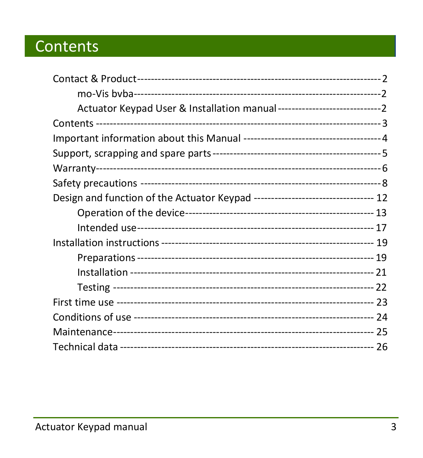# <span id="page-2-0"></span>Contents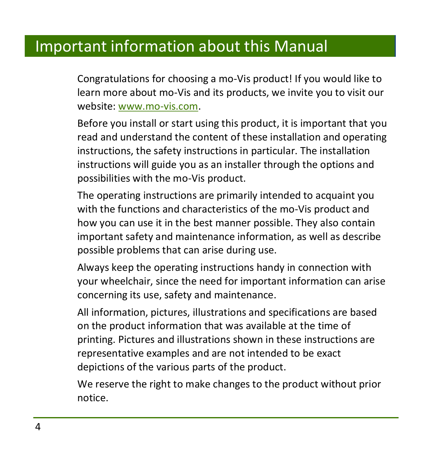# <span id="page-3-0"></span>Important information about this Manual

Congratulations for choosing a mo-Vis product! If you would like to learn more about mo-Vis and its products, we invite you to visit our website: [www.mo-vis.com.](http://www.mo-vis.com/)

Before you install or start using this product, it is important that you read and understand the content of these installation and operating instructions, the safety instructions in particular. The installation instructions will guide you as an installer through the options and possibilities with the mo-Vis product.

The operating instructions are primarily intended to acquaint you with the functions and characteristics of the mo-Vis product and how you can use it in the best manner possible. They also contain important safety and maintenance information, as well as describe possible problems that can arise during use.

Always keep the operating instructions handy in connection with your wheelchair, since the need for important information can arise concerning its use, safety and maintenance.

All information, pictures, illustrations and specifications are based on the product information that was available at the time of printing. Pictures and illustrations shown in these instructions are representative examples and are not intended to be exact depictions of the various parts of the product.

We reserve the right to make changes to the product without prior notice.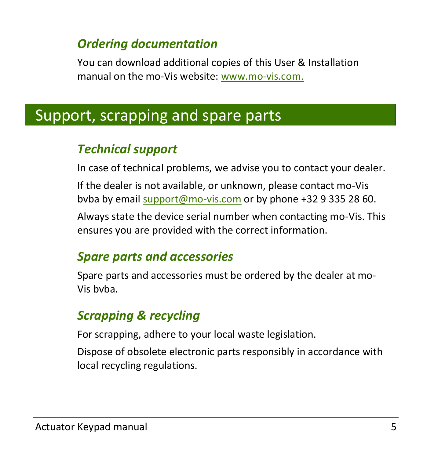## *Ordering documentation*

You can download additional copies of this User & Installation manual on the mo-Vis website: [www.mo-vis.com.](http://www.mo-vis.com/)

# <span id="page-4-0"></span>Support, scrapping and spare parts

# *Technical support*

In case of technical problems, we advise you to contact your dealer.

If the dealer is not available, or unknown, please contact mo-Vis bvba by email [support@mo-vis.com](mailto:support@mo-vis.com) or by phone +32 9 335 28 60.

Always state the device serial number when contacting mo-Vis. This ensures you are provided with the correct information.

# *Spare parts and accessories*

Spare parts and accessories must be ordered by the dealer at mo-Vis bvba.

# *Scrapping & recycling*

For scrapping, adhere to your local waste legislation.

Dispose of obsolete electronic parts responsibly in accordance with local recycling regulations.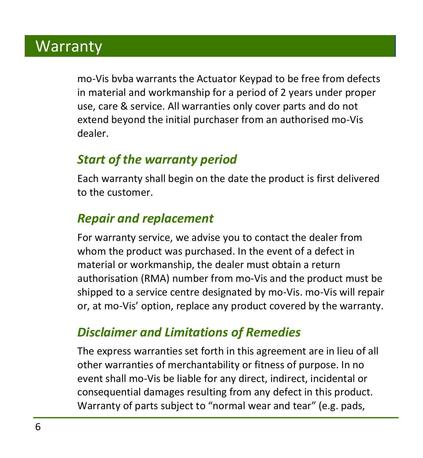# <span id="page-5-0"></span>**Warranty**

mo-Vis bvba warrants the Actuator Keypad to be free from defects in material and workmanship for a period of 2 years under proper use, care & service. All warranties only cover parts and do not extend beyond the initial purchaser from an authorised mo-Vis dealer.

# *Start of the warranty period*

Each warranty shall begin on the date the product is first delivered to the customer.

# *Repair and replacement*

For warranty service, we advise you to contact the dealer from whom the product was purchased. In the event of a defect in material or workmanship, the dealer must obtain a return authorisation (RMA) number from mo-Vis and the product must be shipped to a service centre designated by mo-Vis. mo-Vis will repair or, at mo-Vis' option, replace any product covered by the warranty.

### *Disclaimer and Limitations of Remedies*

The express warranties set forth in this agreement are in lieu of all other warranties of merchantability or fitness of purpose. In no event shall mo-Vis be liable for any direct, indirect, incidental or consequential damages resulting from any defect in this product. Warranty of parts subject to "normal wear and tear" (e.g. pads,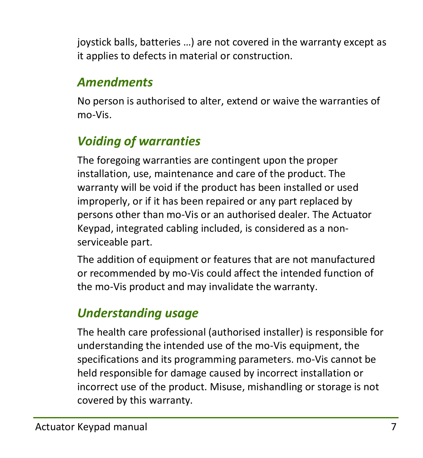joystick balls, batteries …) are not covered in the warranty except as it applies to defects in material or construction.

# *Amendments*

No person is authorised to alter, extend or waive the warranties of mo-Vis.

# *Voiding of warranties*

The foregoing warranties are contingent upon the proper installation, use, maintenance and care of the product. The warranty will be void if the product has been installed or used improperly, or if it has been repaired or any part replaced by persons other than mo-Vis or an authorised dealer. The Actuator Keypad, integrated cabling included, is considered as a nonserviceable part.

The addition of equipment or features that are not manufactured or recommended by mo-Vis could affect the intended function of the mo-Vis product and may invalidate the warranty.

# *Understanding usage*

The health care professional (authorised installer) is responsible for understanding the intended use of the mo-Vis equipment, the specifications and its programming parameters. mo-Vis cannot be held responsible for damage caused by incorrect installation or incorrect use of the product. Misuse, mishandling or storage is not covered by this warranty.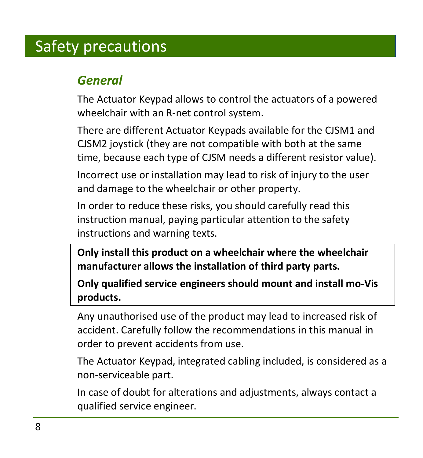# <span id="page-7-0"></span>Safety precautions

# *General*

The Actuator Keypad allows to control the actuators of a powered wheelchair with an R-net control system.

There are different Actuator Keypads available for the CJSM1 and CJSM2 joystick (they are not compatible with both at the same time, because each type of CJSM needs a different resistor value).

Incorrect use or installation may lead to risk of injury to the user and damage to the wheelchair or other property.

In order to reduce these risks, you should carefully read this instruction manual, paying particular attention to the safety instructions and warning texts.

**Only install this product on a wheelchair where the wheelchair manufacturer allows the installation of third party parts.** 

**Only qualified service engineers should mount and install mo-Vis products.** 

Any unauthorised use of the product may lead to increased risk of accident. Carefully follow the recommendations in this manual in order to prevent accidents from use.

The Actuator Keypad, integrated cabling included, is considered as a non-serviceable part.

In case of doubt for alterations and adjustments, always contact a qualified service engineer.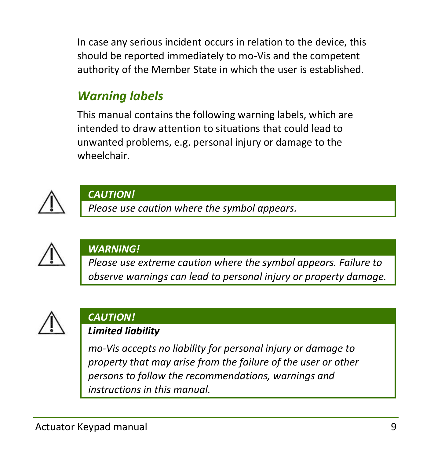In case any serious incident occurs in relation to the device, this should be reported immediately to mo-Vis and the competent authority of the Member State in which the user is established.

# *Warning labels*

This manual contains the following warning labels, which are intended to draw attention to situations that could lead to unwanted problems, e.g. personal injury or damage to the wheelchair.



#### *CAUTION!*

*Please use caution where the symbol appears.*



#### *WARNING!*

*Please use extreme caution where the symbol appears. Failure to observe warnings can lead to personal injury or property damage.*



#### *CAUTION! Limited liability*

*mo-Vis accepts no liability for personal injury or damage to property that may arise from the failure of the user or other persons to follow the recommendations, warnings and instructions in this manual.*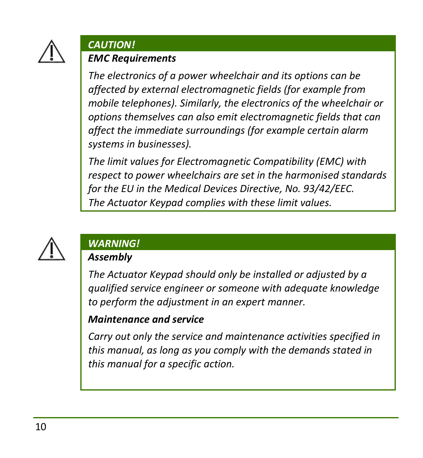

#### *CAUTION!*

#### *EMC Requirements*

*The electronics of a power wheelchair and its options can be affected by external electromagnetic fields (for example from mobile telephones). Similarly, the electronics of the wheelchair or options themselves can also emit electromagnetic fields that can affect the immediate surroundings (for example certain alarm systems in businesses).* 

*The limit values for Electromagnetic Compatibility (EMC) with respect to power wheelchairs are set in the harmonised standards for the EU in the Medical Devices Directive, No. 93/42/EEC. The Actuator Keypad complies with these limit values.*



#### *WARNING!*

#### *Assembly*

*The Actuator Keypad should only be installed or adjusted by a qualified service engineer or someone with adequate knowledge to perform the adjustment in an expert manner.*

#### *Maintenance and service*

*Carry out only the service and maintenance activities specified in this manual, as long as you comply with the demands stated in this manual for a specific action.*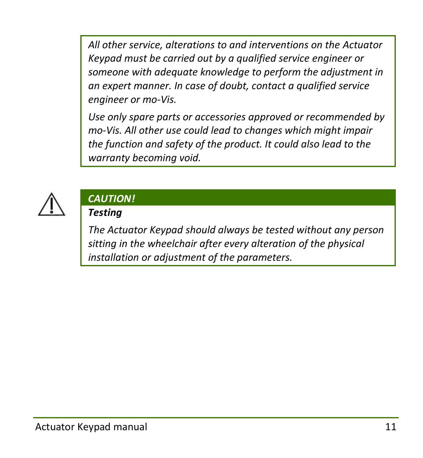*All other service, alterations to and interventions on the Actuator Keypad must be carried out by a qualified service engineer or someone with adequate knowledge to perform the adjustment in an expert manner. In case of doubt, contact a qualified service engineer or mo-Vis.*

*Use only spare parts or accessories approved or recommended by mo-Vis. All other use could lead to changes which might impair the function and safety of the product. It could also lead to the warranty becoming void.*



#### *CAUTION!*

#### *Testing*

*The Actuator Keypad should always be tested without any person sitting in the wheelchair after every alteration of the physical installation or adjustment of the parameters.*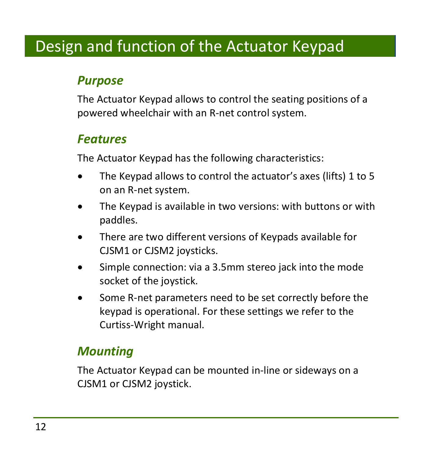# <span id="page-11-0"></span>Design and function of the Actuator Keypad

### *Purpose*

The Actuator Keypad allows to control the seating positions of a powered wheelchair with an R-net control system.

#### *Features*

The Actuator Keypad has the following characteristics:

- The Keypad allows to control the actuator's axes (lifts) 1 to 5 on an R-net system.
- The Keypad is available in two versions: with buttons or with paddles.
- There are two different versions of Keypads available for CJSM1 or CJSM2 joysticks.
- Simple connection: via a 3.5mm stereo jack into the mode socket of the joystick.
- Some R-net parameters need to be set correctly before the keypad is operational. For these settings we refer to the Curtiss-Wright manual.

### *Mounting*

The Actuator Keypad can be mounted in-line or sideways on a CJSM1 or CJSM2 joystick.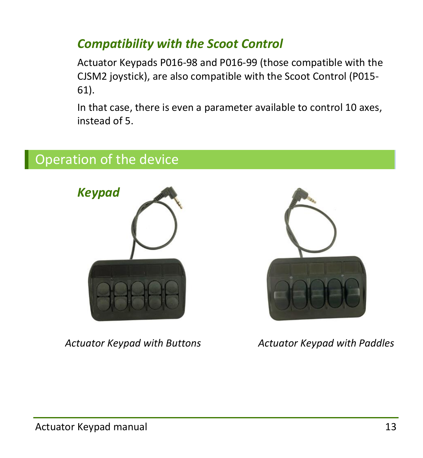# *Compatibility with the Scoot Control*

Actuator Keypads P016-98 and P016-99 (those compatible with the CJSM2 joystick), are also compatible with the Scoot Control (P015- 61).

In that case, there is even a parameter available to control 10 axes, instead of 5.

# <span id="page-12-0"></span>Operation of the device





*Actuator Keypad with Buttons Actuator Keypad with Paddles*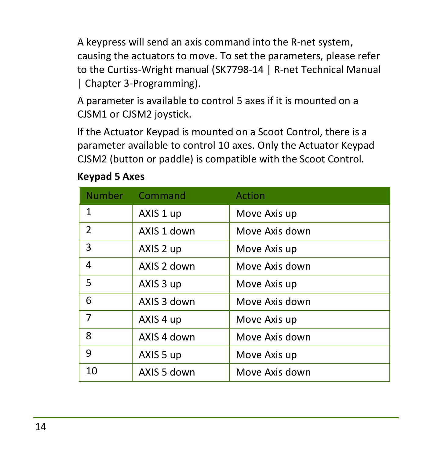A keypress will send an axis command into the R-net system, causing the actuators to move. To set the parameters, please refer to the Curtiss-Wright manual (SK7798-14 | R-net Technical Manual | Chapter 3-Programming).

A parameter is available to control 5 axes if it is mounted on a CJSM1 or CJSM2 joystick.

If the Actuator Keypad is mounted on a Scoot Control, there is a parameter available to control 10 axes. Only the Actuator Keypad CJSM2 (button or paddle) is compatible with the Scoot Control.

| <b>Number</b>  | Command     | Action         |
|----------------|-------------|----------------|
| $\mathbf{1}$   | AXIS 1 up   | Move Axis up   |
| $\overline{2}$ | AXIS 1 down | Move Axis down |
| 3              | AXIS 2 up   | Move Axis up   |
| 4              | AXIS 2 down | Move Axis down |
| 5              | AXIS 3 up   | Move Axis up   |
| 6              | AXIS 3 down | Move Axis down |
| 7              | AXIS 4 up   | Move Axis up   |
| 8              | AXIS 4 down | Move Axis down |
| 9              | AXIS 5 up   | Move Axis up   |
| 10             | AXIS 5 down | Move Axis down |

#### **Keypad 5 Axes**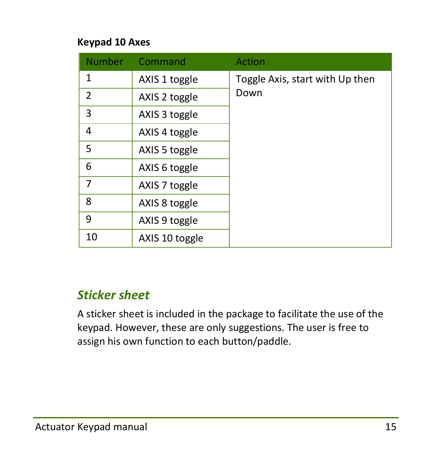#### **Keypad 10 Axes**

| <b>Number</b>  | Command        | Action                          |
|----------------|----------------|---------------------------------|
| 1              | AXIS 1 toggle  | Toggle Axis, start with Up then |
| $\overline{2}$ | AXIS 2 toggle  | Down                            |
| 3              | AXIS 3 toggle  |                                 |
| 4              | AXIS 4 toggle  |                                 |
| 5              | AXIS 5 toggle  |                                 |
| 6              | AXIS 6 toggle  |                                 |
| 7              | AXIS 7 toggle  |                                 |
| 8              | AXIS 8 toggle  |                                 |
| 9              | AXIS 9 toggle  |                                 |
| 10             | AXIS 10 toggle |                                 |

### *Sticker sheet*

A sticker sheet is included in the package to facilitate the use of the keypad. However, these are only suggestions. The user is free to assign his own function to each button/paddle.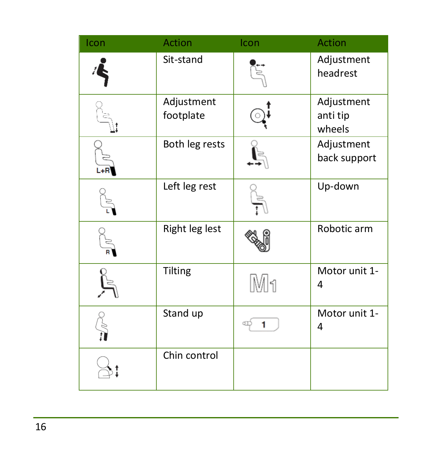| Icon | <b>Action</b>           | Icon | <b>Action</b>                    |
|------|-------------------------|------|----------------------------------|
|      | Sit-stand               |      | Adjustment<br>headrest           |
|      | Adjustment<br>footplate |      | Adjustment<br>anti tip<br>wheels |
|      | Both leg rests          |      | Adjustment<br>back support       |
|      | Left leg rest           |      | Up-down                          |
|      | Right leg lest          |      | Robotic arm                      |
|      | Tilting                 | Mh   | Motor unit 1-<br>4               |
|      | Stand up                |      | Motor unit 1-<br>4               |
|      | Chin control            |      |                                  |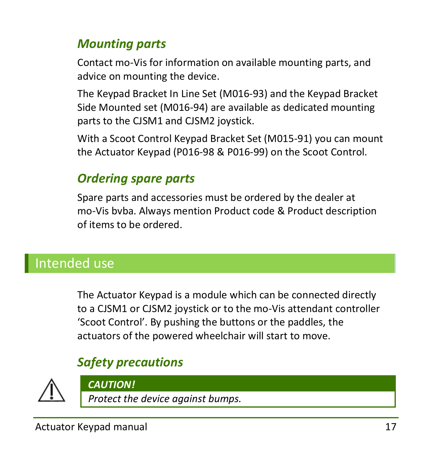# *Mounting parts*

Contact mo-Vis for information on available mounting parts, and advice on mounting the device.

The Keypad Bracket In Line Set (M016-93) and the Keypad Bracket Side Mounted set (M016-94) are available as dedicated mounting parts to the CJSM1 and CJSM2 joystick.

With a Scoot Control Keypad Bracket Set (M015-91) you can mount the Actuator Keypad (P016-98 & P016-99) on the Scoot Control.

# *Ordering spare parts*

Spare parts and accessories must be ordered by the dealer at mo-Vis bvba. Always mention Product code & Product description of items to be ordered.

# <span id="page-16-0"></span>Intended use

The Actuator Keypad is a module which can be connected directly to a CJSM1 or CJSM2 joystick or to the mo-Vis attendant controller 'Scoot Control'. By pushing the buttons or the paddles, the actuators of the powered wheelchair will start to move.

# *Safety precautions*



*CAUTION!*

*Protect the device against bumps.*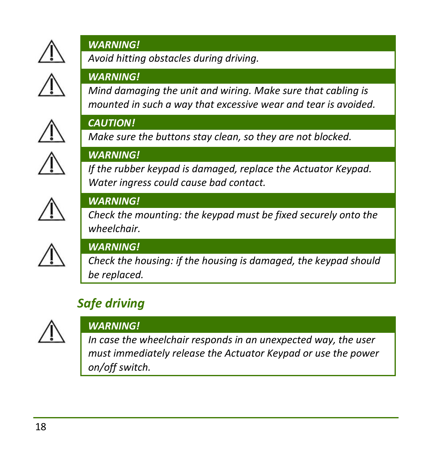

#### *WARNING!*

# *Avoid hitting obstacles during driving.*

#### *WARNING!*

*Mind damaging the unit and wiring. Make sure that cabling is mounted in such a way that excessive wear and tear is avoided.*



#### *CAUTION!*

*Make sure the buttons stay clean, so they are not blocked.*



#### *WARNING!*

*If the rubber keypad is damaged, replace the Actuator Keypad. Water ingress could cause bad contact.*



#### *WARNING!*

*Check the mounting: the keypad must be fixed securely onto the wheelchair.*



#### *WARNING!*

*Check the housing: if the housing is damaged, the keypad should be replaced.*

# *Safe driving*



#### *WARNING!*

*In case the wheelchair responds in an unexpected way, the user must immediately release the Actuator Keypad or use the power on/off switch.*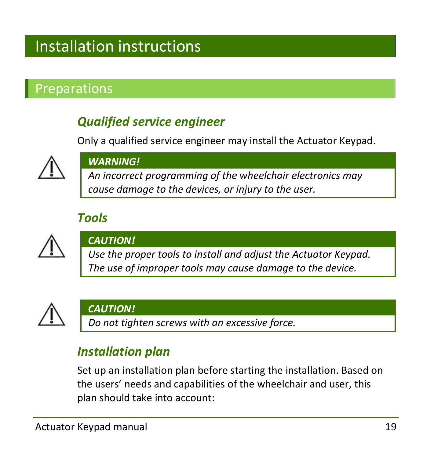# <span id="page-18-0"></span>Installation instructions

# <span id="page-18-1"></span>Preparations

# *Qualified service engineer*

Only a qualified service engineer may install the Actuator Keypad.



#### *WARNING!*

*An incorrect programming of the wheelchair electronics may cause damage to the devices, or injury to the user.*

### *Tools*



#### *CAUTION!*

*Use the proper tools to install and adjust the Actuator Keypad. The use of improper tools may cause damage to the device.*



#### *CAUTION!*

*Do not tighten screws with an excessive force.*

### *Installation plan*

Set up an installation plan before starting the installation. Based on the users' needs and capabilities of the wheelchair and user, this plan should take into account: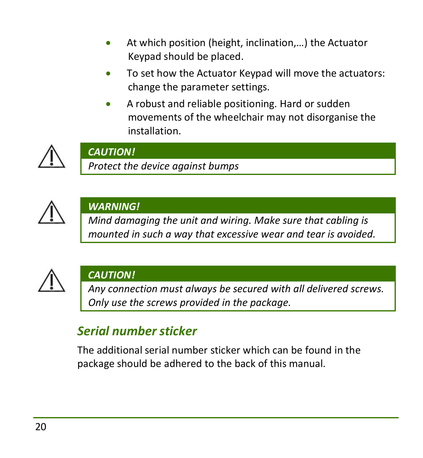- At which position (height, inclination,…) the Actuator Keypad should be placed.
- To set how the Actuator Keypad will move the actuators: change the parameter settings.
- A robust and reliable positioning. Hard or sudden movements of the wheelchair may not disorganise the installation.



#### *CAUTION!*

*Protect the device against bumps*



### *WARNING!*

*Mind damaging the unit and wiring. Make sure that cabling is mounted in such a way that excessive wear and tear is avoided.*



### *CAUTION!*

*Any connection must always be secured with all delivered screws. Only use the screws provided in the package.*

# *Serial number sticker*

The additional serial number sticker which can be found in the package should be adhered to the back of this manual.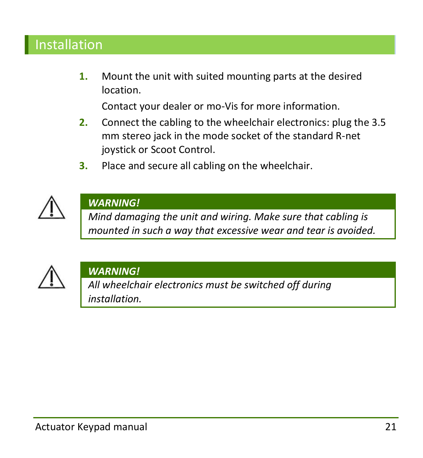# <span id="page-20-0"></span>Installation

**1.** Mount the unit with suited mounting parts at the desired location.

Contact your dealer or mo-Vis for more information.

- **2.** Connect the cabling to the wheelchair electronics: plug the 3.5 mm stereo jack in the mode socket of the standard R-net joystick or Scoot Control.
- **3.** Place and secure all cabling on the wheelchair.



#### *WARNING!*

*Mind damaging the unit and wiring. Make sure that cabling is mounted in such a way that excessive wear and tear is avoided.*



#### *WARNING!*

*All wheelchair electronics must be switched off during installation.*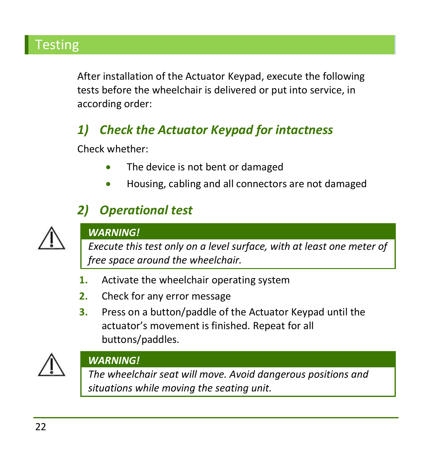# <span id="page-21-0"></span>**Testing**

After installation of the Actuator Keypad, execute the following tests before the wheelchair is delivered or put into service, in according order:

# *1) Check the Actuator Keypad for intactness*

Check whether:

- The device is not bent or damaged
- Housing, cabling and all connectors are not damaged

# *2) Operational test*



#### *WARNING!*

*Execute this test only on a level surface, with at least one meter of free space around the wheelchair.*

- **1.** Activate the wheelchair operating system
- **2.** Check for any error message
- **3.** Press on a button/paddle of the Actuator Keypad until the actuator's movement is finished. Repeat for all buttons/paddles.



#### *WARNING!*

*The wheelchair seat will move. Avoid dangerous positions and situations while moving the seating unit.*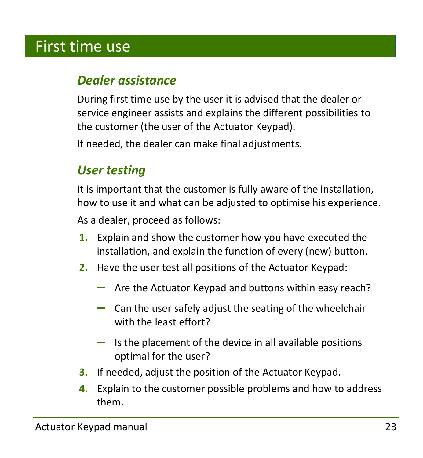# <span id="page-22-0"></span>First time use

### *Dealer assistance*

During first time use by the user it is advised that the dealer or service engineer assists and explains the different possibilities to the customer (the user of the Actuator Keypad).

If needed, the dealer can make final adjustments.

### *User testing*

It is important that the customer is fully aware of the installation, how to use it and what can be adjusted to optimise his experience. As a dealer, proceed as follows:

- **1.** Explain and show the customer how you have executed the installation, and explain the function of every (new) button.
- **2.** Have the user test all positions of the Actuator Keypad:
	- $-$  Are the Actuator Keypad and buttons within easy reach?
	- $-$  Can the user safely adjust the seating of the wheelchair with the least effort?
	- $-$  Is the placement of the device in all available positions optimal for the user?
- **3.** If needed, adjust the position of the Actuator Keypad.
- **4.** Explain to the customer possible problems and how to address them.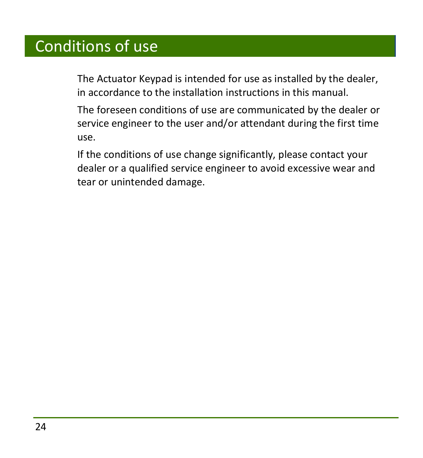# <span id="page-23-0"></span>Conditions of use

The Actuator Keypad is intended for use as installed by the dealer, in accordance to the installation instructions in this manual.

The foreseen conditions of use are communicated by the dealer or service engineer to the user and/or attendant during the first time use.

If the conditions of use change significantly, please contact your dealer or a qualified service engineer to avoid excessive wear and tear or unintended damage.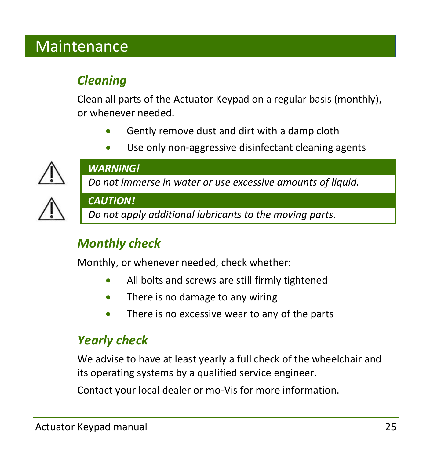# <span id="page-24-0"></span>Maintenance

# *Cleaning*

Clean all parts of the Actuator Keypad on a regular basis (monthly), or whenever needed.

- Gently remove dust and dirt with a damp cloth
- Use only non-aggressive disinfectant cleaning agents



#### *WARNING!*

*Do not immerse in water or use excessive amounts of liquid.*



#### *CAUTION!*

*Do not apply additional lubricants to the moving parts.*

# *Monthly check*

Monthly, or whenever needed, check whether:

- All bolts and screws are still firmly tightened
- There is no damage to any wiring
- There is no excessive wear to any of the parts

### *Yearly check*

We advise to have at least yearly a full check of the wheelchair and its operating systems by a qualified service engineer.

Contact your local dealer or mo-Vis for more information.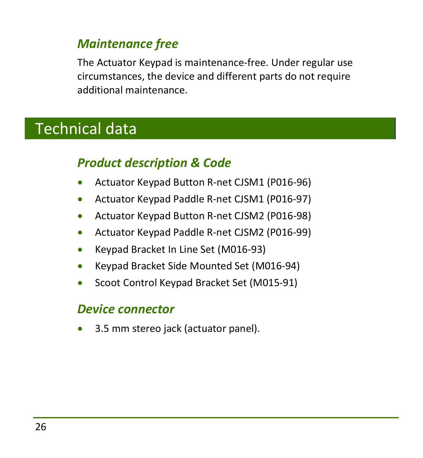### *Maintenance free*

The Actuator Keypad is maintenance-free. Under regular use circumstances, the device and different parts do not require additional maintenance.

# <span id="page-25-0"></span>Technical data

# *Product description & Code*

- Actuator Keypad Button R-net CJSM1 (P016-96)
- Actuator Keypad Paddle R-net CJSM1 (P016-97)
- Actuator Keypad Button R-net CJSM2 (P016-98)
- Actuator Keypad Paddle R-net CJSM2 (P016-99)
- Keypad Bracket In Line Set (M016-93)
- Keypad Bracket Side Mounted Set (M016-94)
- Scoot Control Keypad Bracket Set (M015-91)

#### *Device connector*

3.5 mm stereo jack (actuator panel).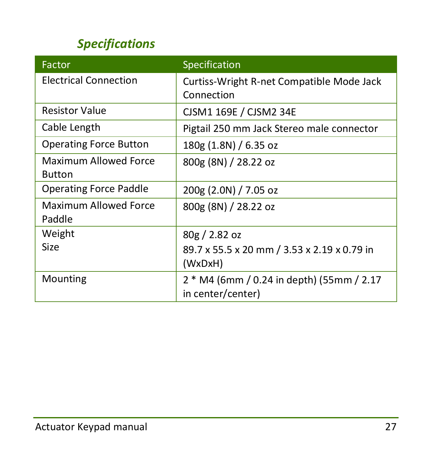# *Specifications*

| Factor                                 | Specification                                                  |
|----------------------------------------|----------------------------------------------------------------|
| Electrical Connection                  | Curtiss-Wright R-net Compatible Mode Jack<br>Connection        |
|                                        |                                                                |
| <b>Resistor Value</b>                  | CJSM1 169E / CJSM2 34E                                         |
| Cable Length                           | Pigtail 250 mm Jack Stereo male connector                      |
| <b>Operating Force Button</b>          | 180g (1.8N) / 6.35 oz                                          |
| Maximum Allowed Force<br><b>Button</b> | 800g (8N) / 28.22 oz                                           |
|                                        |                                                                |
| <b>Operating Force Paddle</b>          | 200g (2.0N) / 7.05 oz                                          |
| Maximum Allowed Force                  | 800g (8N) / 28.22 oz                                           |
| Paddle                                 |                                                                |
| Weight                                 | 80g / 2.82oz                                                   |
| <b>Size</b>                            | 89.7 x 55.5 x 20 mm / 3.53 x 2.19 x 0.79 in                    |
|                                        | (WxDxH)                                                        |
| Mounting                               | 2 * M4 (6mm / 0.24 in depth) (55mm / 2.17<br>in center/center) |